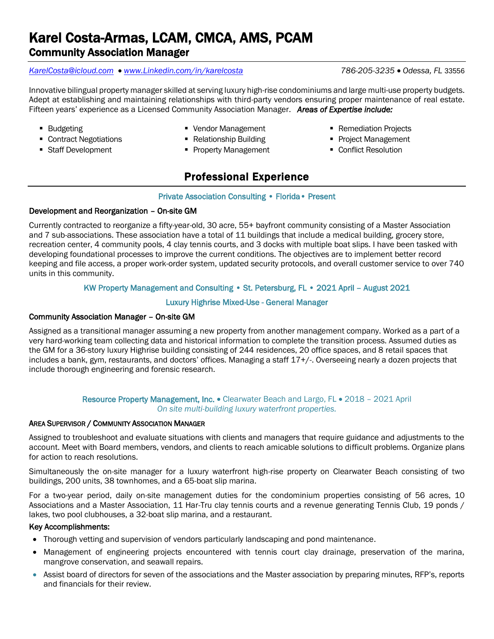# Karel Costa-Armas, LCAM, CMCA, AMS, PCAM Community Association Manager

#### *[KarelCosta@icloud.com](mailto:KarelCosta@icloud.com)* • *[www.Linkedin.com/in/karelcosta](http://www.linkedin.com/in/karelcosta) 786-205-3235* • *Odessa, FL* 33556

Innovative bilingual property manager skilled at serving luxury high-rise condominiums and large multi-use property budgets. Adept at establishing and maintaining relationships with third-party vendors ensuring proper maintenance of real estate. Fifteen years' experience as a Licensed Community Association Manager. *Areas of Expertise include:* 

- 
- Budgeting The Management The Remediation Projects
- Contract Negotiations Relationship Building Project Management
- Staff Development Property Management Conflict Resolution
- 
- -

# Professional Experience

#### Private Association Consulting • Florida• Present

### Development and Reorganization – On-site GM

Currently contracted to reorganize a fifty-year-old, 30 acre, 55+ bayfront community consisting of a Master Association and 7 sub-associations. These association have a total of 11 buildings that include a medical building, grocery store, recreation center, 4 community pools, 4 clay tennis courts, and 3 docks with multiple boat slips. I have been tasked with developing foundational processes to improve the current conditions. The objectives are to implement better record keeping and file access, a proper work-order system, updated security protocols, and overall customer service to over 740 units in this community.

### KW Property Management and Consulting • St. Petersburg, FL • 2021 April – August 2021

#### Luxury Highrise Mixed-Use - General Manager

#### Community Association Manager – On-site GM

Assigned as a transitional manager assuming a new property from another management company. Worked as a part of a very hard-working team collecting data and historical information to complete the transition process. Assumed duties as the GM for a 36-story luxury Highrise building consisting of 244 residences, 20 office spaces, and 8 retail spaces that includes a bank, gym, restaurants, and doctors' offices. Managing a staff 17+/-. Overseeing nearly a dozen projects that include thorough engineering and forensic research.

#### Resource Property Management, Inc. • Clearwater Beach and Largo, FL • 2018 - 2021 April *On site multi-building luxury waterfront properties.*

#### AREA SUPERVISOR / COMMUNITY ASSOCIATION MANAGER

Assigned to troubleshoot and evaluate situations with clients and managers that require guidance and adjustments to the account. Meet with Board members, vendors, and clients to reach amicable solutions to difficult problems. Organize plans for action to reach resolutions.

Simultaneously the on-site manager for a luxury waterfront high-rise property on Clearwater Beach consisting of two buildings, 200 units, 38 townhomes, and a 65-boat slip marina.

For a two-year period, daily on-site management duties for the condominium properties consisting of 56 acres, 10 Associations and a Master Association, 11 Har-Tru clay tennis courts and a revenue generating Tennis Club, 19 ponds / lakes, two pool clubhouses, a 32-boat slip marina, and a restaurant.

#### Key Accomplishments:

- Thorough vetting and supervision of vendors particularly landscaping and pond maintenance.
- Management of engineering projects encountered with tennis court clay drainage, preservation of the marina, mangrove conservation, and seawall repairs.
- Assist board of directors for seven of the associations and the Master association by preparing minutes, RFP's, reports and financials for their review.